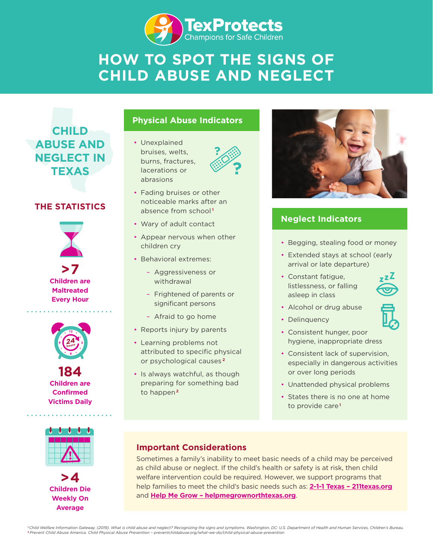

# **HOW TO SPOT THE SIGNS OF CHILD ABUSE AND NEGLECT**

**CHILD ABUSE AND NEGLECT IN TEXAS**

## **THE STATISTICS**



**>7 Children are Maltreated Every Hour**



**184 Children are Confirmed Victims Daily**



**>4 Children Die Weekly On Average**

## **Physical Abuse Indicators**

• Unexplained bruises, welts, burns, fractures, lacerations or abrasions



- Fading bruises or other noticeable marks after an absence from school **<sup>1</sup>**
- Wary of adult contact
- Appear nervous when other children cry
- Behavioral extremes:
	- Aggressiveness or withdrawal
	- Frightened of parents or significant persons
	- Afraid to go home
- Reports injury by parents
- Learning problems not attributed to specific physical or psychological causes **<sup>2</sup>**
- Is always watchful, as though preparing for something bad to happen **<sup>2</sup>**



## **Neglect Indicators**

- Begging, stealing food or money
- Extended stays at school (early arrival or late departure)
- Constant fatigue, listlessness, or falling asleep in class



- Alcohol or drug abuse
- Delinquency
- Consistent hunger, poor hygiene, inappropriate dress
- Consistent lack of supervision, especially in dangerous activities or over long periods
- Unattended physical problems
- States there is no one at home to provide care**<sup>1</sup>**

## **Important Considerations**

Sometimes a family's inability to meet basic needs of a child may be perceived as child abuse or neglect. If the child's health or safety is at risk, then child welfare intervention could be required. However, we support programs that help families to meet the child's basic needs such as: **[2-1-1 Texas](https://www.211texas.org/) – [211texas.org](https://www.211texas.org/)** and **[Help Me Grow](https://helpmegrownorthtexas.org/) – [helpmegrownorthtexas.org](https://helpmegrownorthtexas.org/)**.

**<sup>1</sup>***Child Welfare Information Gateway. (2019). What is child abuse and neglect? Recognizing the signs and symptoms. Washington, DC: U.S. Department of Health and Human Services, Children's Bureau.*  **2** *[Prevent Child Abuse America. Child Physical Abuse Prevention](https://preventchildabuse.org/what-we-do/child-physical-abuse-prevention/) – [preventchildabuse.org/what-we-do/child-physical-abuse-prevention](https://preventchildabuse.org/what-we-do/child-physical-abuse-prevention/)*